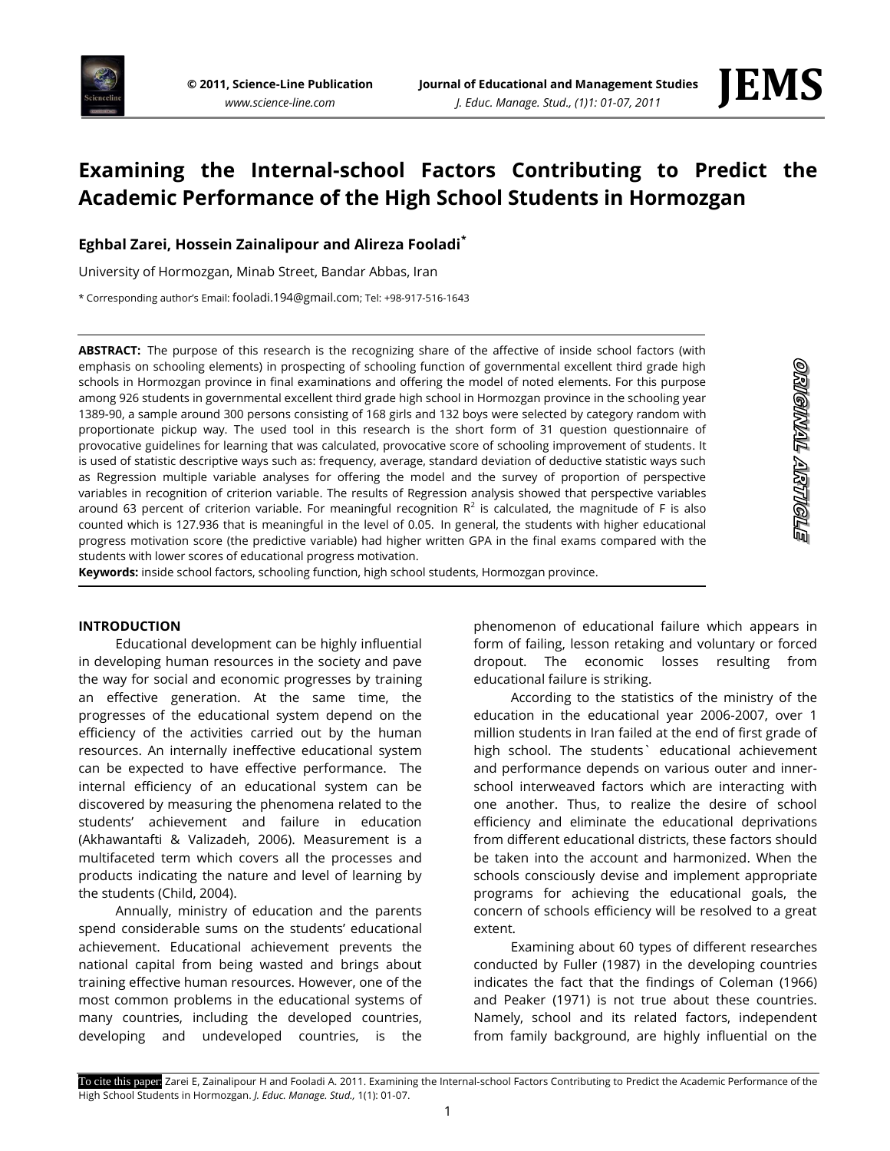



# **Examining the Internal-school Factors Contributing to Predict the Academic Performance of the High School Students in Hormozgan**

## **Eghbal Zarei, Hossein Zainalipour and Alireza Fooladi\***

University of Hormozgan, Minab Street, Bandar Abbas, Iran

\* Corresponding author's Email: fooladi.194@gmail.com; Tel: +98-917-516-1643

**ABSTRACT:** The purpose of this research is the recognizing share of the affective of inside school factors (with emphasis on schooling elements) in prospecting of schooling function of governmental excellent third grade high schools in Hormozgan province in final examinations and offering the model of noted elements. For this purpose among 926 students in governmental excellent third grade high school in Hormozgan province in the schooling year 1389-90, a sample around 300 persons consisting of 168 girls and 132 boys were selected by category random with proportionate pickup way. The used tool in this research is the short form of 31 question questionnaire of provocative guidelines for learning that was calculated, provocative score of schooling improvement of students. It is used of statistic descriptive ways such as: frequency, average, standard deviation of deductive statistic ways such as Regression multiple variable analyses for offering the model and the survey of proportion of perspective variables in recognition of criterion variable. The results of Regression analysis showed that perspective variables around 63 percent of criterion variable. For meaningful recognition  $R^2$  is calculated, the magnitude of F is also counted which is 127.936 that is meaningful in the level of 0.05. In general, the students with higher educational progress motivation score (the predictive variable) had higher written GPA in the final exams compared with the students with lower scores of educational progress motivation.

**Keywords:** inside school factors, schooling function, high school students, Hormozgan province.

## **INTRODUCTION**

Educational development can be highly influential in developing human resources in the society and pave the way for social and economic progresses by training an effective generation. At the same time, the progresses of the educational system depend on the efficiency of the activities carried out by the human resources. An internally ineffective educational system can be expected to have effective performance. The internal efficiency of an educational system can be discovered by measuring the phenomena related to the students' achievement and failure in education (Akhawantafti & Valizadeh, 2006). Measurement is a multifaceted term which covers all the processes and products indicating the nature and level of learning by the students (Child, 2004).

Annually, ministry of education and the parents spend considerable sums on the students' educational achievement. Educational achievement prevents the national capital from being wasted and brings about training effective human resources. However, one of the most common problems in the educational systems of many countries, including the developed countries, developing and undeveloped countries, is the

phenomenon of educational failure which appears in form of failing, lesson retaking and voluntary or forced dropout. The economic losses resulting from educational failure is striking.

According to the statistics of the ministry of the education in the educational year 2006-2007, over 1 million students in Iran failed at the end of first grade of high school. The students` educational achievement and performance depends on various outer and innerschool interweaved factors which are interacting with one another. Thus, to realize the desire of school efficiency and eliminate the educational deprivations from different educational districts, these factors should be taken into the account and harmonized. When the schools consciously devise and implement appropriate programs for achieving the educational goals, the concern of schools efficiency will be resolved to a great extent.

Examining about 60 types of different researches conducted by Fuller (1987) in the developing countries indicates the fact that the findings of Coleman (1966) and Peaker (1971) is not true about these countries. Namely, school and its related factors, independent from family background, are highly influential on the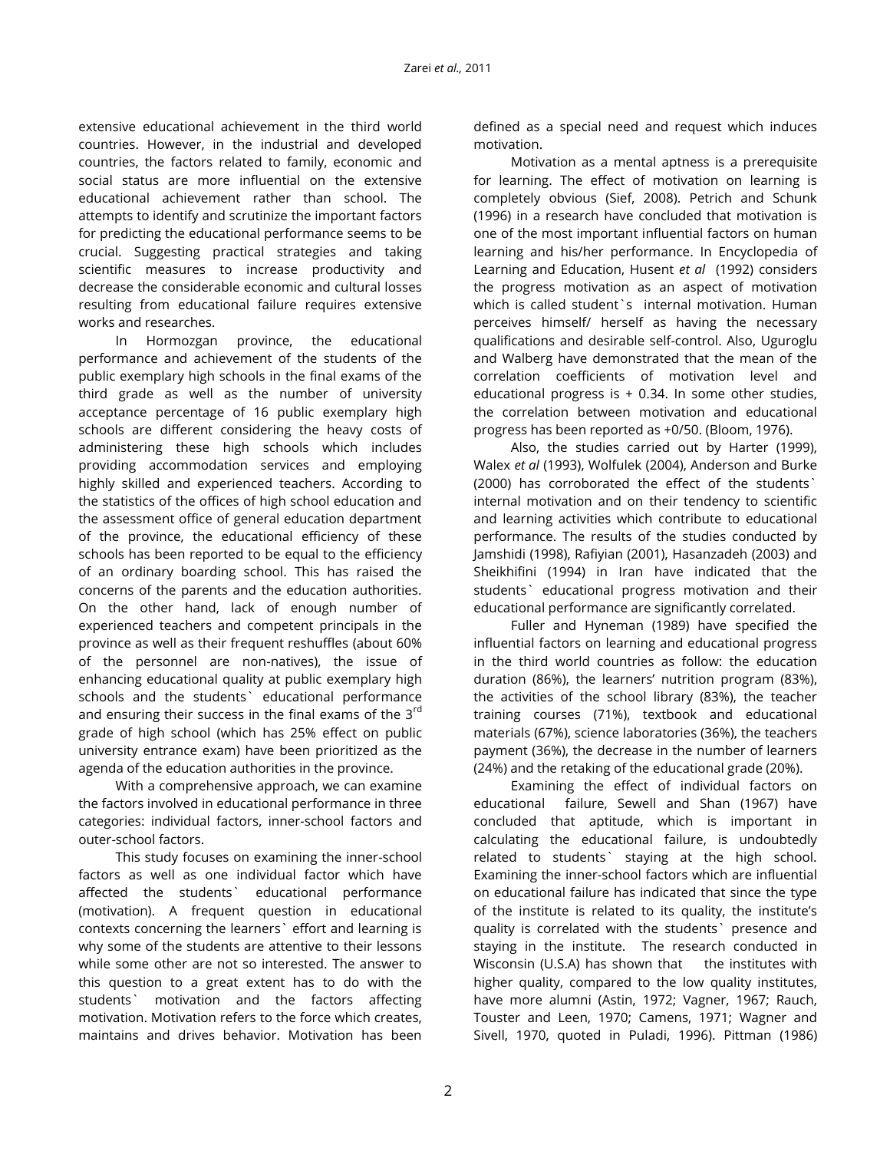extensive educational achievement in the third world countries. However, in the industrial and developed countries, the factors related to family, economic and social status are more influential on the extensive educational achievement rather than school. The attempts to identify and scrutinize the important factors for predicting the educational performance seems to be crucial. Suggesting practical strategies and taking scientific measures to increase productivity and decrease the considerable economic and cultural losses resulting from educational failure requires extensive works and researches.

In Hormozgan province, the educational performance and achievement of the students of the public exemplary high schools in the final exams of the third grade as well as the number of university acceptance percentage of 16 public exemplary high schools are different considering the heavy costs of administering these high schools which includes providing accommodation services and employing highly skilled and experienced teachers. According to the statistics of the offices of high school education and the assessment office of general education department of the province, the educational efficiency of these schools has been reported to be equal to the efficiency of an ordinary boarding school. This has raised the concerns of the parents and the education authorities. On the other hand, lack of enough number of experienced teachers and competent principals in the province as well as their frequent reshuffles (about 60% of the personnel are non-natives), the issue of enhancing educational quality at public exemplary high schools and the students` educational performance and ensuring their success in the final exams of the  $3<sup>rd</sup>$ grade of high school (which has 25% effect on public university entrance exam) have been prioritized as the agenda of the education authorities in the province.

With a comprehensive approach, we can examine the factors involved in educational performance in three categories: individual factors, inner-school factors and outer-school factors.

This study focuses on examining the inner-school factors as well as one individual factor which have affected the students` educational performance (motivation). A frequent question in educational contexts concerning the learners` effort and learning is why some of the students are attentive to their lessons while some other are not so interested. The answer to this question to a great extent has to do with the students` motivation and the factors affecting motivation. Motivation refers to the force which creates, maintains and drives behavior. Motivation has been

defined as a special need and request which induces motivation.

Motivation as a mental aptness is a prerequisite for learning. The effect of motivation on learning is completely obvious (Sief, 2008). Petrich and Schunk (1996) in a research have concluded that motivation is one of the most important influential factors on human learning and his/her performance. In Encyclopedia of Learning and Education, Husent *et al* (1992) considers the progress motivation as an aspect of motivation which is called student's internal motivation. Human perceives himself/ herself as having the necessary qualifications and desirable self-control. Also, Uguroglu and Walberg have demonstrated that the mean of the correlation coefficients of motivation level and educational progress is  $+$  0.34. In some other studies, the correlation between motivation and educational progress has been reported as +0/50. (Bloom, 1976).

Also, the studies carried out by Harter (1999), Walex *et al* (1993), Wolfulek (2004), Anderson and Burke (2000) has corroborated the effect of the students` internal motivation and on their tendency to scientific and learning activities which contribute to educational performance. The results of the studies conducted by Jamshidi (1998), Rafiyian (2001), Hasanzadeh (2003) and Sheikhifini (1994) in Iran have indicated that the students` educational progress motivation and their educational performance are significantly correlated.

Fuller and Hyneman (1989) have specified the influential factors on learning and educational progress in the third world countries as follow: the education duration (86%), the learners' nutrition program (83%), the activities of the school library (83%), the teacher training courses (71%), textbook and educational materials (67%), science laboratories (36%), the teachers payment (36%), the decrease in the number of learners (24%) and the retaking of the educational grade (20%).

Examining the effect of individual factors on educational failure, Sewell and Shan (1967) have concluded that aptitude, which is important in calculating the educational failure, is undoubtedly related to students` staying at the high school. Examining the inner-school factors which are influential on educational failure has indicated that since the type of the institute is related to its quality, the institute's quality is correlated with the students` presence and staying in the institute. The research conducted in Wisconsin (U.S.A) has shown that the institutes with higher quality, compared to the low quality institutes, have more alumni (Astin, 1972; Vagner, 1967; Rauch, Touster and Leen, 1970; Camens, 1971; Wagner and Sivell, 1970, quoted in Puladi, 1996). Pittman (1986)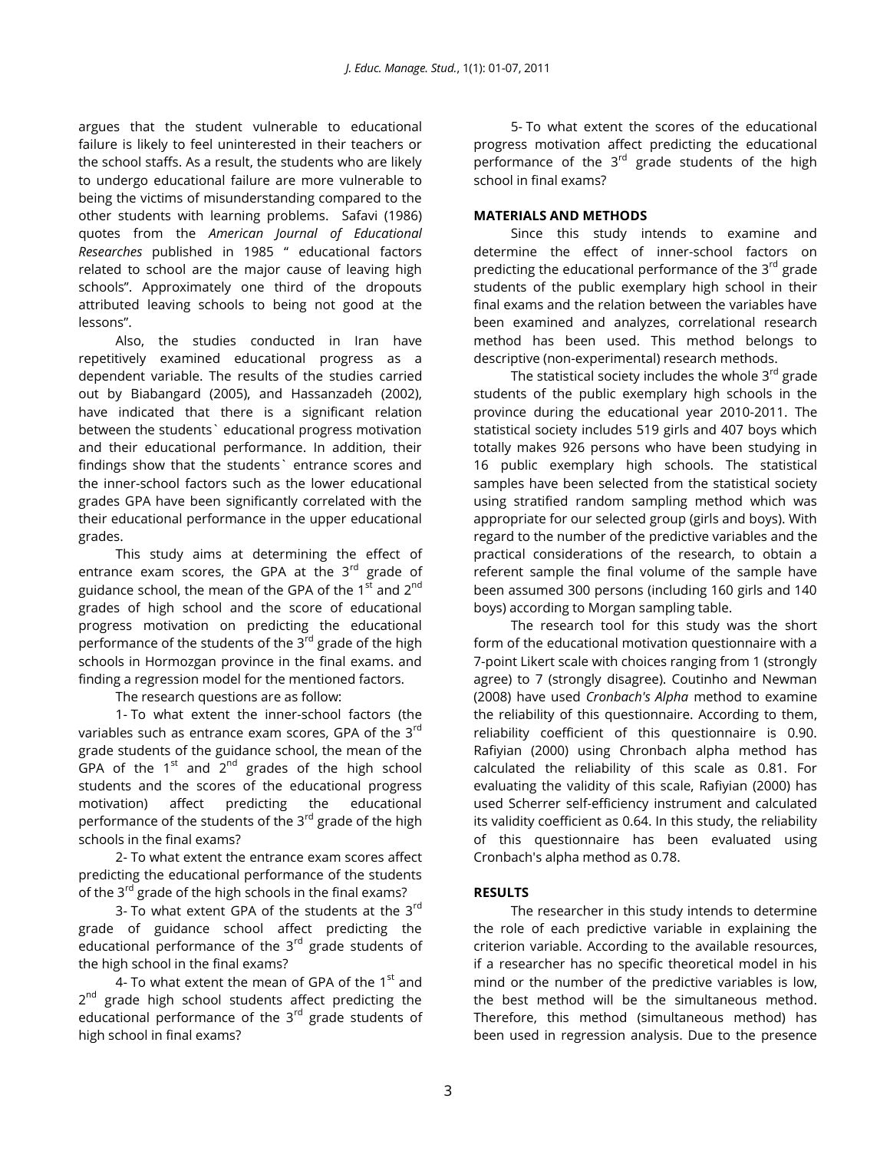argues that the student vulnerable to educational failure is likely to feel uninterested in their teachers or the school staffs. As a result, the students who are likely to undergo educational failure are more vulnerable to being the victims of misunderstanding compared to the other students with learning problems. Safavi (1986) quotes from the *American Journal of Educational Researches* published in 1985 " educational factors related to school are the major cause of leaving high schools". Approximately one third of the dropouts attributed leaving schools to being not good at the lessons".

Also, the studies conducted in Iran have repetitively examined educational progress as a dependent variable. The results of the studies carried out by Biabangard (2005), and Hassanzadeh (2002), have indicated that there is a significant relation between the students` educational progress motivation and their educational performance. In addition, their findings show that the students` entrance scores and the inner-school factors such as the lower educational grades GPA have been significantly correlated with the their educational performance in the upper educational grades.

This study aims at determining the effect of entrance exam scores, the GPA at the  $3<sup>rd</sup>$  grade of guidance school, the mean of the GPA of the  $1<sup>st</sup>$  and  $2<sup>nd</sup>$ grades of high school and the score of educational progress motivation on predicting the educational performance of the students of the  $3<sup>rd</sup>$  grade of the high schools in Hormozgan province in the final exams. and finding a regression model for the mentioned factors.

The research questions are as follow:

1- To what extent the inner-school factors (the variables such as entrance exam scores, GPA of the 3<sup>rd</sup> grade students of the guidance school, the mean of the GPA of the  $1^{st}$  and  $2^{nd}$  grades of the high school students and the scores of the educational progress motivation) affect predicting the educational performance of the students of the  $3<sup>rd</sup>$  grade of the high schools in the final exams?

2- To what extent the entrance exam scores affect predicting the educational performance of the students of the  $3^{rd}$  grade of the high schools in the final exams?

3- To what extent GPA of the students at the  $3^{rd}$ grade of guidance school affect predicting the educational performance of the  $3<sup>rd</sup>$  grade students of the high school in the final exams?

4- To what extent the mean of GPA of the  $1<sup>st</sup>$  and 2<sup>nd</sup> grade high school students affect predicting the educational performance of the  $3<sup>rd</sup>$  grade students of high school in final exams?

5- To what extent the scores of the educational progress motivation affect predicting the educational performance of the 3<sup>rd</sup> grade students of the high school in final exams?

## **MATERIALS AND METHODS**

Since this study intends to examine and determine the effect of inner-school factors on predicting the educational performance of the 3<sup>rd</sup> grade students of the public exemplary high school in their final exams and the relation between the variables have been examined and analyzes, correlational research method has been used. This method belongs to descriptive (non-experimental) research methods.

The statistical society includes the whole  $3<sup>rd</sup>$  grade students of the public exemplary high schools in the province during the educational year 2010-2011. The statistical society includes 519 girls and 407 boys which totally makes 926 persons who have been studying in 16 public exemplary high schools. The statistical samples have been selected from the statistical society using stratified random sampling method which was appropriate for our selected group (girls and boys). With regard to the number of the predictive variables and the practical considerations of the research, to obtain a referent sample the final volume of the sample have been assumed 300 persons (including 160 girls and 140 boys) according to Morgan sampling table.

The research tool for this study was the short form of the educational motivation questionnaire with a 7-point Likert scale with choices ranging from 1 (strongly agree) to 7 (strongly disagree). Coutinho and Newman (2008) have used *Cronbach's Alpha* method to examine the reliability of this questionnaire. According to them, reliability coefficient of this questionnaire is 0.90. Rafiyian (2000) using Chronbach alpha method has calculated the reliability of this scale as 0.81. For evaluating the validity of this scale, Rafiyian (2000) has used Scherrer self-efficiency instrument and calculated its validity coefficient as 0.64. In this study, the reliability of this questionnaire has been evaluated using Cronbach's alpha method as 0.78.

## **RESULTS**

The researcher in this study intends to determine the role of each predictive variable in explaining the criterion variable. According to the available resources, if a researcher has no specific theoretical model in his mind or the number of the predictive variables is low, the best method will be the simultaneous method. Therefore, this method (simultaneous method) has been used in regression analysis. Due to the presence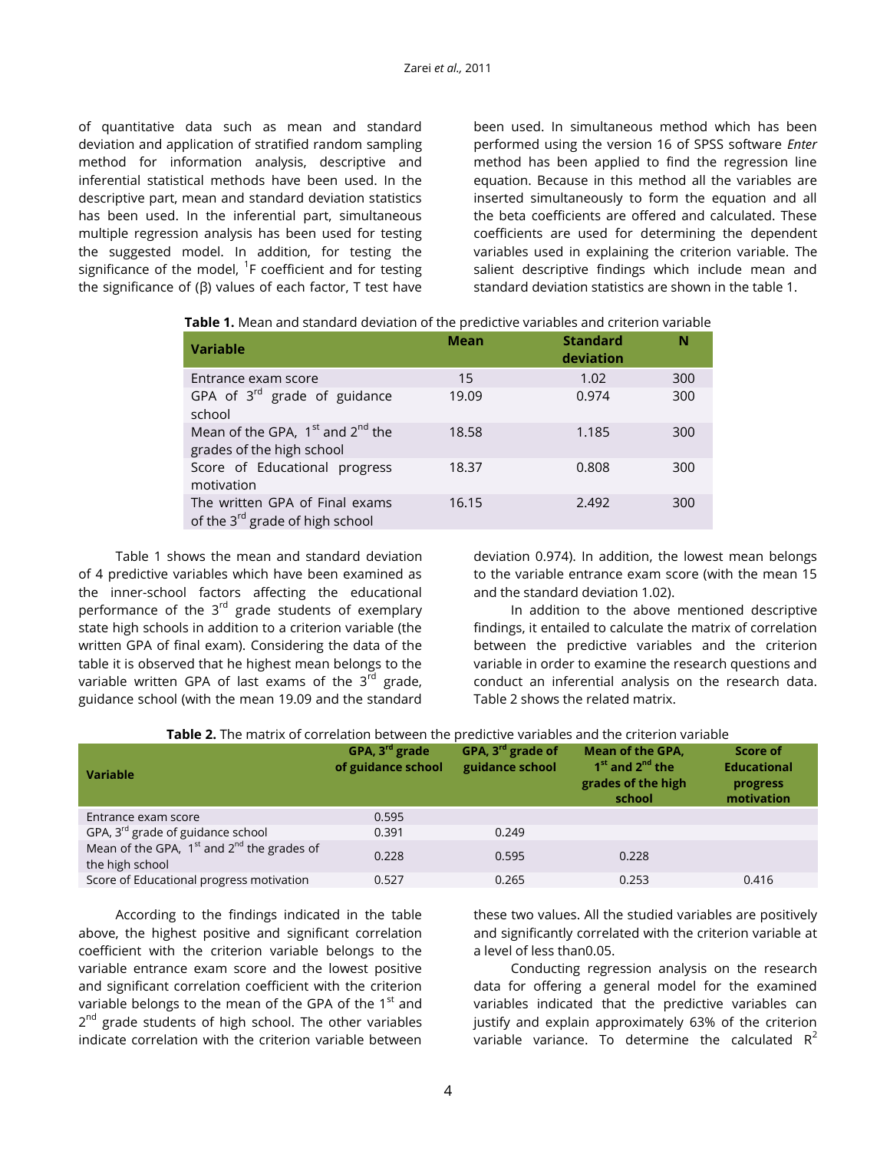of quantitative data such as mean and standard deviation and application of stratified random sampling method for information analysis, descriptive and inferential statistical methods have been used. In the descriptive part, mean and standard deviation statistics has been used. In the inferential part, simultaneous multiple regression analysis has been used for testing the suggested model. In addition, for testing the significance of the model,  ${}^{1}$ F coefficient and for testing the significance of (β) values of each factor, T test have

been used. In simultaneous method which has been performed using the version 16 of SPSS software *Enter* method has been applied to find the regression line equation. Because in this method all the variables are inserted simultaneously to form the equation and all the beta coefficients are offered and calculated. These coefficients are used for determining the dependent variables used in explaining the criterion variable. The salient descriptive findings which include mean and standard deviation statistics are shown in the table 1.

| <b>Variable</b>                                                               | <b>Mean</b> | <b>Standard</b><br>deviation | N   |
|-------------------------------------------------------------------------------|-------------|------------------------------|-----|
| Entrance exam score                                                           | 15          | 1.02                         | 300 |
| GPA of $3^{rd}$ grade of guidance<br>school                                   | 19.09       | 0.974                        | 300 |
| Mean of the GPA, $1^{st}$ and $2^{nd}$ the<br>grades of the high school       | 18.58       | 1.185                        | 300 |
| Score of Educational progress<br>motivation                                   | 18.37       | 0.808                        | 300 |
| The written GPA of Final exams<br>of the 3 <sup>rd</sup> grade of high school | 16.15       | 2.492                        | 300 |

Table 1 shows the mean and standard deviation of 4 predictive variables which have been examined as the inner-school factors affecting the educational performance of the 3<sup>rd</sup> grade students of exemplary state high schools in addition to a criterion variable (the written GPA of final exam). Considering the data of the table it is observed that he highest mean belongs to the variable written GPA of last exams of the  $3<sup>rd</sup>$  grade, guidance school (with the mean 19.09 and the standard

deviation 0.974). In addition, the lowest mean belongs to the variable entrance exam score (with the mean 15 and the standard deviation 1.02).

In addition to the above mentioned descriptive findings, it entailed to calculate the matrix of correlation between the predictive variables and the criterion variable in order to examine the research questions and conduct an inferential analysis on the research data. Table 2 shows the related matrix.

| <b>Table 2.</b> The matrix of correlation between the predictive variables and the criterion variable |  |
|-------------------------------------------------------------------------------------------------------|--|
|                                                                                                       |  |

| Variable                                                                | GPA, $3^{rd}$ grade<br>of guidance school | GPA, $3^{rd}$ grade of<br>guidance school | <b>Mean of the GPA,</b><br>1 <sup>st</sup> and 2 <sup>nd</sup> the<br>grades of the high<br>school | Score of<br><b>Educational</b><br>progress<br>motivation |
|-------------------------------------------------------------------------|-------------------------------------------|-------------------------------------------|----------------------------------------------------------------------------------------------------|----------------------------------------------------------|
| Entrance exam score                                                     | 0.595                                     |                                           |                                                                                                    |                                                          |
| GPA, 3 <sup>rd</sup> grade of guidance school                           | 0.391                                     | 0.249                                     |                                                                                                    |                                                          |
| Mean of the GPA, $1^{st}$ and $2^{nd}$ the grades of<br>the high school | 0.228                                     | 0.595                                     | 0.228                                                                                              |                                                          |
| Score of Educational progress motivation                                | 0.527                                     | 0.265                                     | 0.253                                                                                              | 0.416                                                    |

According to the findings indicated in the table above, the highest positive and significant correlation coefficient with the criterion variable belongs to the variable entrance exam score and the lowest positive and significant correlation coefficient with the criterion variable belongs to the mean of the GPA of the  $1<sup>st</sup>$  and 2<sup>nd</sup> grade students of high school. The other variables indicate correlation with the criterion variable between

these two values. All the studied variables are positively and significantly correlated with the criterion variable at a level of less than0.05.

Conducting regression analysis on the research data for offering a general model for the examined variables indicated that the predictive variables can justify and explain approximately 63% of the criterion variable variance. To determine the calculated  $R^2$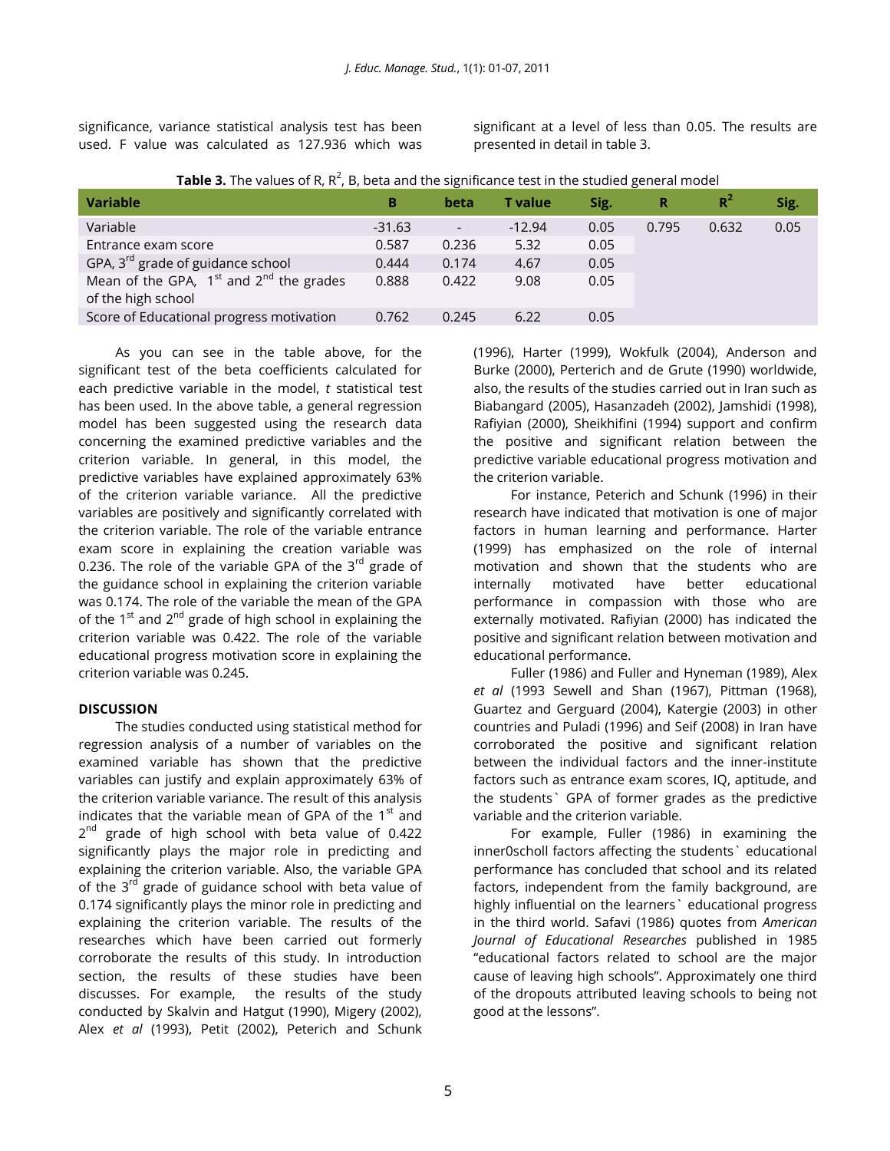significance, variance statistical analysis test has been used. F value was calculated as 127.936 which was significant at a level of less than 0.05. The results are presented in detail in table 3.

|  |  |  | <b>Table 3.</b> The values of R, R <sup>2</sup> , B, beta and the significance test in the studied general model |  |
|--|--|--|------------------------------------------------------------------------------------------------------------------|--|
|  |  |  |                                                                                                                  |  |

| <b>Variable</b>                                   | в        | beta                     | <b>T</b> value | Sig. | R     | $R^2$ | Sig. |
|---------------------------------------------------|----------|--------------------------|----------------|------|-------|-------|------|
| Variable                                          | $-31.63$ | $\overline{\phantom{a}}$ | $-12.94$       | 0.05 | 0.795 | 0.632 | 0.05 |
| Entrance exam score                               | 0.587    | 0.236                    | 5.32           | 0.05 |       |       |      |
| GPA, 3 <sup>rd</sup> grade of guidance school     | 0.444    | 0.174                    | 4.67           | 0.05 |       |       |      |
| Mean of the GPA, $1^{st}$ and $2^{nd}$ the grades | 0.888    | 0.422                    | 9.08           | 0.05 |       |       |      |
| of the high school                                |          |                          |                |      |       |       |      |
| Score of Educational progress motivation          | 0.762    | 0.245                    | 6.22           | 0.05 |       |       |      |

As you can see in the table above, for the significant test of the beta coefficients calculated for each predictive variable in the model, *t* statistical test has been used. In the above table, a general regression model has been suggested using the research data concerning the examined predictive variables and the criterion variable. In general, in this model, the predictive variables have explained approximately 63% of the criterion variable variance. All the predictive variables are positively and significantly correlated with the criterion variable. The role of the variable entrance exam score in explaining the creation variable was 0.236. The role of the variable GPA of the  $3<sup>rd</sup>$  grade of the guidance school in explaining the criterion variable was 0.174. The role of the variable the mean of the GPA of the  $1<sup>st</sup>$  and  $2<sup>nd</sup>$  grade of high school in explaining the criterion variable was 0.422. The role of the variable educational progress motivation score in explaining the criterion variable was 0.245.

## **DISCUSSION**

The studies conducted using statistical method for regression analysis of a number of variables on the examined variable has shown that the predictive variables can justify and explain approximately 63% of the criterion variable variance. The result of this analysis indicates that the variable mean of GPA of the  $1<sup>st</sup>$  and 2<sup>nd</sup> grade of high school with beta value of 0.422 significantly plays the major role in predicting and explaining the criterion variable. Also, the variable GPA of the  $3^{rd}$  grade of guidance school with beta value of 0.174 significantly plays the minor role in predicting and explaining the criterion variable. The results of the researches which have been carried out formerly corroborate the results of this study. In introduction section, the results of these studies have been discusses. For example, the results of the study conducted by Skalvin and Hatgut (1990), Migery (2002), Alex *et al* (1993), Petit (2002), Peterich and Schunk

(1996), Harter (1999), Wokfulk (2004), Anderson and Burke (2000), Perterich and de Grute (1990) worldwide, also, the results of the studies carried out in Iran such as Biabangard (2005), Hasanzadeh (2002), Jamshidi (1998), Rafiyian (2000), Sheikhifini (1994) support and confirm the positive and significant relation between the predictive variable educational progress motivation and the criterion variable.

For instance, Peterich and Schunk (1996) in their research have indicated that motivation is one of major factors in human learning and performance. Harter (1999) has emphasized on the role of internal motivation and shown that the students who are internally motivated have better educational performance in compassion with those who are externally motivated. Rafiyian (2000) has indicated the positive and significant relation between motivation and educational performance.

Fuller (1986) and Fuller and Hyneman (1989), Alex *et al* (1993 Sewell and Shan (1967), Pittman (1968), Guartez and Gerguard (2004), Katergie (2003) in other countries and Puladi (1996) and Seif (2008) in Iran have corroborated the positive and significant relation between the individual factors and the inner-institute factors such as entrance exam scores, IQ, aptitude, and the students` GPA of former grades as the predictive variable and the criterion variable.

For example, Fuller (1986) in examining the inner0scholl factors affecting the students` educational performance has concluded that school and its related factors, independent from the family background, are highly influential on the learners` educational progress in the third world. Safavi (1986) quotes from *American Journal of Educational Researches* published in 1985 "educational factors related to school are the major cause of leaving high schools". Approximately one third of the dropouts attributed leaving schools to being not good at the lessons".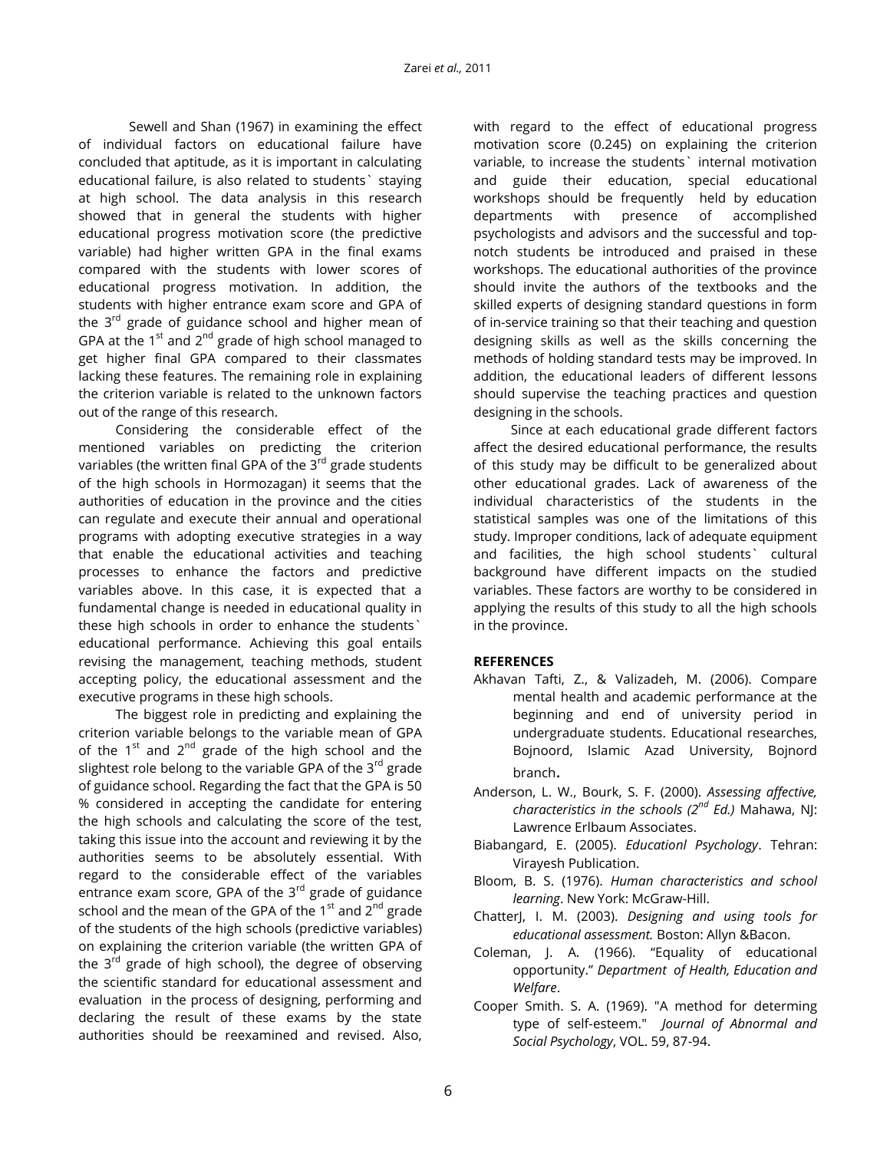Sewell and Shan (1967) in examining the effect of individual factors on educational failure have concluded that aptitude, as it is important in calculating educational failure, is also related to students` staying at high school. The data analysis in this research showed that in general the students with higher educational progress motivation score (the predictive variable) had higher written GPA in the final exams compared with the students with lower scores of educational progress motivation. In addition, the students with higher entrance exam score and GPA of the  $3<sup>rd</sup>$  grade of guidance school and higher mean of GPA at the  $1<sup>st</sup>$  and  $2<sup>nd</sup>$  grade of high school managed to get higher final GPA compared to their classmates lacking these features. The remaining role in explaining the criterion variable is related to the unknown factors out of the range of this research.

Considering the considerable effect of the mentioned variables on predicting the criterion variables (the written final GPA of the 3<sup>rd</sup> grade students of the high schools in Hormozagan) it seems that the authorities of education in the province and the cities can regulate and execute their annual and operational programs with adopting executive strategies in a way that enable the educational activities and teaching processes to enhance the factors and predictive variables above. In this case, it is expected that a fundamental change is needed in educational quality in these high schools in order to enhance the students` educational performance. Achieving this goal entails revising the management, teaching methods, student accepting policy, the educational assessment and the executive programs in these high schools.

The biggest role in predicting and explaining the criterion variable belongs to the variable mean of GPA of the  $1^{st}$  and  $2^{nd}$  grade of the high school and the slightest role belong to the variable GPA of the  $3^{rd}$  grade of guidance school. Regarding the fact that the GPA is 50 % considered in accepting the candidate for entering the high schools and calculating the score of the test, taking this issue into the account and reviewing it by the authorities seems to be absolutely essential. With regard to the considerable effect of the variables entrance exam score, GPA of the  $3<sup>rd</sup>$  grade of guidance school and the mean of the GPA of the  $1<sup>st</sup>$  and  $2<sup>nd</sup>$  grade of the students of the high schools (predictive variables) on explaining the criterion variable (the written GPA of the  $3<sup>rd</sup>$  grade of high school), the degree of observing the scientific standard for educational assessment and evaluation in the process of designing, performing and declaring the result of these exams by the state authorities should be reexamined and revised. Also,

with regard to the effect of educational progress motivation score (0.245) on explaining the criterion variable, to increase the students` internal motivation and guide their education, special educational workshops should be frequently held by education departments with presence of accomplished psychologists and advisors and the successful and topnotch students be introduced and praised in these workshops. The educational authorities of the province should invite the authors of the textbooks and the skilled experts of designing standard questions in form of in-service training so that their teaching and question designing skills as well as the skills concerning the methods of holding standard tests may be improved. In addition, the educational leaders of different lessons should supervise the teaching practices and question designing in the schools.

Since at each educational grade different factors affect the desired educational performance, the results of this study may be difficult to be generalized about other educational grades. Lack of awareness of the individual characteristics of the students in the statistical samples was one of the limitations of this study. Improper conditions, lack of adequate equipment and facilities, the high school students` cultural background have different impacts on the studied variables. These factors are worthy to be considered in applying the results of this study to all the high schools in the province.

## **REFERENCES**

- Akhavan Tafti, Z., & Valizadeh, M. (2006). Compare mental health and academic performance at the beginning and end of university period in undergraduate students. Educational researches, Bojnoord, Islamic Azad University, Bojnord branch.
- Anderson, L. W., Bourk, S. F. (2000). *Assessing affective, characteristics in the schools (2nd Ed.)* Mahawa, NJ: Lawrence Erlbaum Associates.
- Biabangard, E. (2005). *Educationl Psychology*. Tehran: Virayesh Publication.
- Bloom, B. S. (1976). *Human characteristics and school learning*. New York: McGraw-Hill.
- ChatterJ, I. M. (2003). *Designing and using tools for educational assessment.* Boston: Allyn &Bacon.
- Coleman, J. A. (1966). "Equality of educational opportunity." *Department of Health, Education and Welfare*.
- Cooper Smith. S. A. (1969). "A method for determing type of self-esteem." *Journal of Abnormal and Social Psychology*, VOL. 59, 87-94.